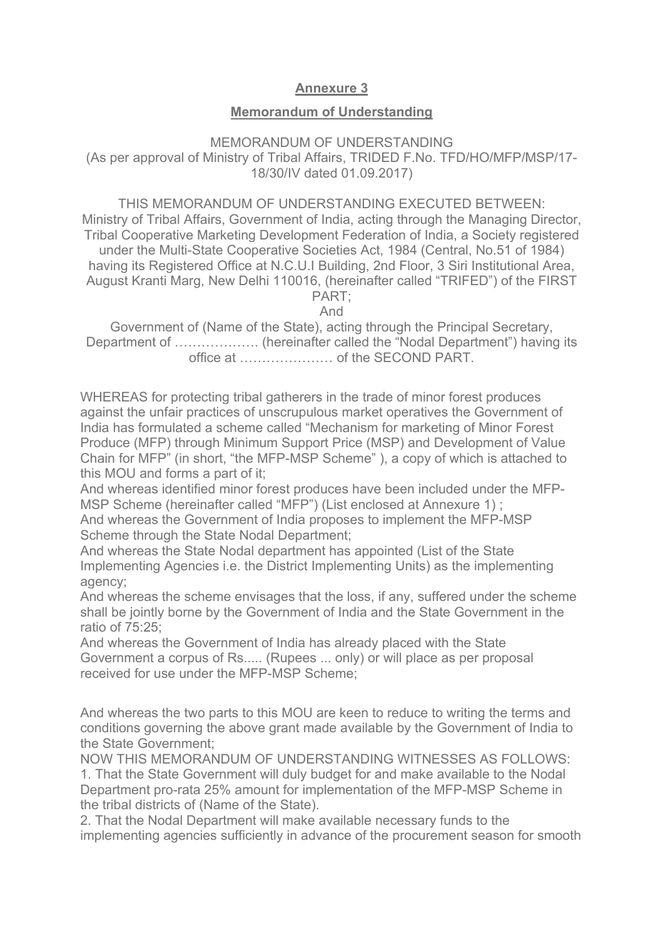## **Annexure 3**

## **Memorandum of Understanding**

## MEMORANDUM OF UNDERSTANDING (As per approval of Ministry of Tribal Affairs, TRIDED F.No. TFD/HO/MFP/MSP/17- 18/30/IV dated 01.09.2017)

THIS MEMORANDUM OF UNDERSTANDING EXECUTED BETWEEN: Ministry of Tribal Affairs, Government of India, acting through the Managing Director, Tribal Cooperative Marketing Development Federation of India, a Society registered under the Multi-State Cooperative Societies Act, 1984 (Central, No.51 of 1984) having its Registered Office at N.C.U.I Building, 2nd Floor, 3 Siri Institutional Area, August Kranti Marg, New Delhi 110016, (hereinafter called "TRIFED") of the FIRST PART;

And

Government of (Name of the State), acting through the Principal Secretary, Department of ……………….. (hereinafter called the "Nodal Department") having its office at ………………… of the SECOND PART.

WHEREAS for protecting tribal gatherers in the trade of minor forest produces against the unfair practices of unscrupulous market operatives the Government of India has formulated a scheme called "Mechanism for marketing of Minor Forest Produce (MFP) through Minimum Support Price (MSP) and Development of Value Chain for MFP" (in short, "the MFP-MSP Scheme" ), a copy of which is attached to this MOU and forms a part of it;

And whereas identified minor forest produces have been included under the MFP-MSP Scheme (hereinafter called "MFP") (List enclosed at Annexure 1) ;

And whereas the Government of India proposes to implement the MFP-MSP Scheme through the State Nodal Department;

And whereas the State Nodal department has appointed (List of the State Implementing Agencies i.e. the District Implementing Units) as the implementing agency;

And whereas the scheme envisages that the loss, if any, suffered under the scheme shall be jointly borne by the Government of India and the State Government in the ratio of 75:25;

And whereas the Government of India has already placed with the State Government a corpus of Rs..... (Rupees ... only) or will place as per proposal received for use under the MFP-MSP Scheme;

And whereas the two parts to this MOU are keen to reduce to writing the terms and conditions governing the above grant made available by the Government of India to the State Government;

NOW THIS MEMORANDUM OF UNDERSTANDING WITNESSES AS FOLLOWS: 1. That the State Government will duly budget for and make available to the Nodal Department pro-rata 25% amount for implementation of the MFP-MSP Scheme in the tribal districts of (Name of the State).

2. That the Nodal Department will make available necessary funds to the implementing agencies sufficiently in advance of the procurement season for smooth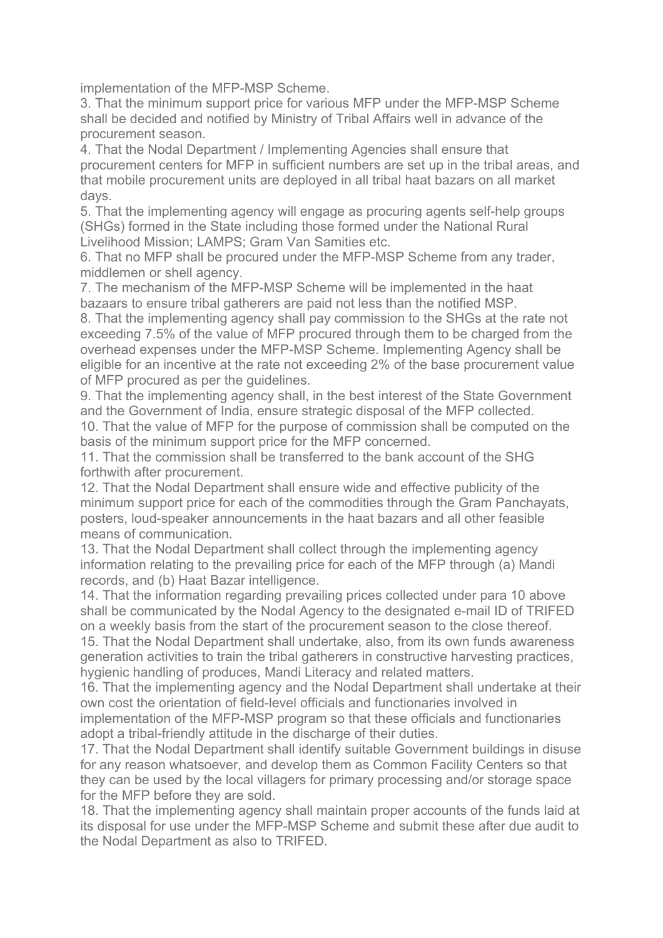implementation of the MFP-MSP Scheme.

3. That the minimum support price for various MFP under the MFP-MSP Scheme shall be decided and notified by Ministry of Tribal Affairs well in advance of the procurement season.

4. That the Nodal Department / Implementing Agencies shall ensure that procurement centers for MFP in sufficient numbers are set up in the tribal areas, and that mobile procurement units are deployed in all tribal haat bazars on all market days.

5. That the implementing agency will engage as procuring agents self-help groups (SHGs) formed in the State including those formed under the National Rural Livelihood Mission; LAMPS; Gram Van Samities etc.

6. That no MFP shall be procured under the MFP-MSP Scheme from any trader, middlemen or shell agency.

7. The mechanism of the MFP-MSP Scheme will be implemented in the haat bazaars to ensure tribal gatherers are paid not less than the notified MSP.

8. That the implementing agency shall pay commission to the SHGs at the rate not exceeding 7.5% of the value of MFP procured through them to be charged from the overhead expenses under the MFP-MSP Scheme. Implementing Agency shall be eligible for an incentive at the rate not exceeding 2% of the base procurement value of MFP procured as per the guidelines.

9. That the implementing agency shall, in the best interest of the State Government and the Government of India, ensure strategic disposal of the MFP collected.

10. That the value of MFP for the purpose of commission shall be computed on the basis of the minimum support price for the MFP concerned.

11. That the commission shall be transferred to the bank account of the SHG forthwith after procurement.

12. That the Nodal Department shall ensure wide and effective publicity of the minimum support price for each of the commodities through the Gram Panchayats, posters, loud-speaker announcements in the haat bazars and all other feasible means of communication.

13. That the Nodal Department shall collect through the implementing agency information relating to the prevailing price for each of the MFP through (a) Mandi records, and (b) Haat Bazar intelligence.

14. That the information regarding prevailing prices collected under para 10 above shall be communicated by the Nodal Agency to the designated e-mail ID of TRIFED on a weekly basis from the start of the procurement season to the close thereof.

15. That the Nodal Department shall undertake, also, from its own funds awareness generation activities to train the tribal gatherers in constructive harvesting practices, hygienic handling of produces, Mandi Literacy and related matters.

16. That the implementing agency and the Nodal Department shall undertake at their own cost the orientation of field-level officials and functionaries involved in implementation of the MFP-MSP program so that these officials and functionaries adopt a tribal-friendly attitude in the discharge of their duties.

17. That the Nodal Department shall identify suitable Government buildings in disuse for any reason whatsoever, and develop them as Common Facility Centers so that they can be used by the local villagers for primary processing and/or storage space for the MFP before they are sold.

18. That the implementing agency shall maintain proper accounts of the funds laid at its disposal for use under the MFP-MSP Scheme and submit these after due audit to the Nodal Department as also to TRIFED.